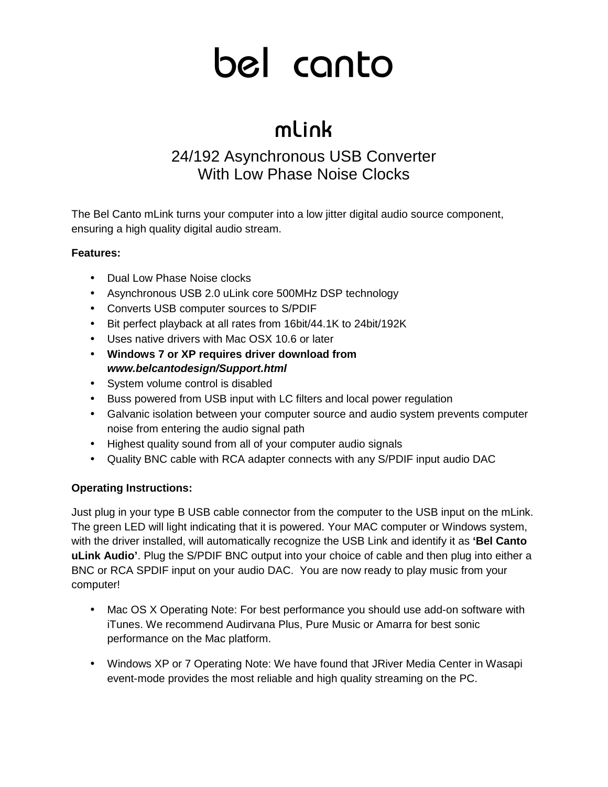# bel canto

## mLink

### 24/192 Asynchronous USB Converter With Low Phase Noise Clocks

The Bel Canto mLink turns your computer into a low jitter digital audio source component, ensuring a high quality digital audio stream.

#### **Features:**

- Dual Low Phase Noise clocks
- Asynchronous USB 2.0 uLink core 500MHz DSP technology
- Converts USB computer sources to S/PDIF
- Bit perfect playback at all rates from 16bit/44.1K to 24bit/192K
- Uses native drivers with Mac OSX 10.6 or later
- **Windows 7 or XP requires driver download from www.belcantodesign/Support.html**
- System volume control is disabled
- Buss powered from USB input with LC filters and local power regulation
- Galvanic isolation between your computer source and audio system prevents computer noise from entering the audio signal path
- Highest quality sound from all of your computer audio signals
- Quality BNC cable with RCA adapter connects with any S/PDIF input audio DAC

#### **Operating Instructions:**

Just plug in your type B USB cable connector from the computer to the USB input on the mLink. The green LED will light indicating that it is powered. Your MAC computer or Windows system, with the driver installed, will automatically recognize the USB Link and identify it as **'Bel Canto uLink Audio'**. Plug the S/PDIF BNC output into your choice of cable and then plug into either a BNC or RCA SPDIF input on your audio DAC. You are now ready to play music from your computer!

- Mac OS X Operating Note: For best performance you should use add-on software with iTunes. We recommend Audirvana Plus, Pure Music or Amarra for best sonic performance on the Mac platform.
- Windows XP or 7 Operating Note: We have found that JRiver Media Center in Wasapi event-mode provides the most reliable and high quality streaming on the PC.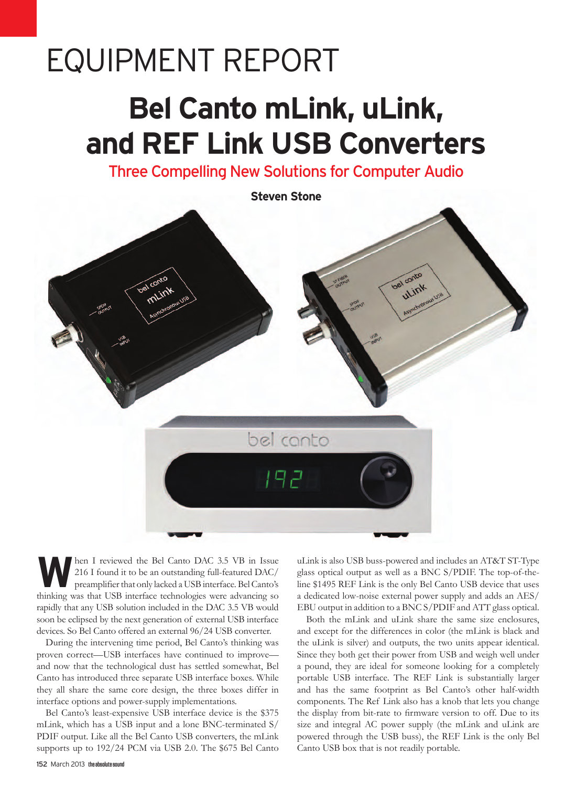# Equipment Report

## **Bel Canto mLink, uLink, and REF Link USB Converters**

Three Compelling New Solutions for Computer Audio



**WALLET ARE I** reviewed the Bel Canto DAC 3.5 VB in Issue<br>216 I found it to be an outstanding full-featured DAC/<br>preamplifier that only lacked a USB interface. Bel Canto's 216 I found it to be an outstanding full-featured DAC/ preamplifier that only lacked a USB interface. Bel Canto's thinking was that USB interface technologies were advancing so rapidly that any USB solution included in the DAC 3.5 VB would soon be eclipsed by the next generation of external USB interface devices. So Bel Canto offered an external 96/24 USB converter.

During the intervening time period, Bel Canto's thinking was proven correct—USB interfaces have continued to improve and now that the technological dust has settled somewhat, Bel Canto has introduced three separate USB interface boxes. While they all share the same core design, the three boxes differ in interface options and power-supply implementations.

Bel Canto's least-expensive USB interface device is the \$375 mLink, which has a USB input and a lone BNC-terminated S/ PDIF output. Like all the Bel Canto USB converters, the mLink supports up to 192/24 PCM via USB 2.0. The \$675 Bel Canto uLink is also USB buss-powered and includes an AT&T ST-Type glass optical output as well as a BNC S/PDIF. The top-of-theline \$1495 REF Link is the only Bel Canto USB device that uses a dedicated low-noise external power supply and adds an AES/ EBU output in addition to a BNC S/PDIF and ATT glass optical.

Both the mLink and uLink share the same size enclosures, and except for the differences in color (the mLink is black and the uLink is silver) and outputs, the two units appear identical. Since they both get their power from USB and weigh well under a pound, they are ideal for someone looking for a completely portable USB interface. The REF Link is substantially larger and has the same footprint as Bel Canto's other half-width components. The Ref Link also has a knob that lets you change the display from bit-rate to firmware version to off. Due to its size and integral AC power supply (the mLink and uLink are powered through the USB buss), the REF Link is the only Bel Canto USB box that is not readily portable.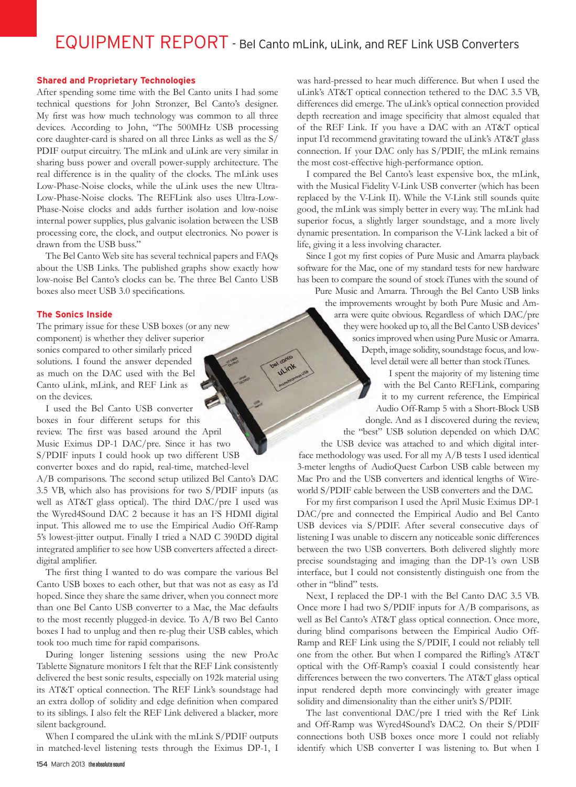### EQUIPMENT REPORT - Bel Canto mLink, uLink, and REF Link USB Converters

#### **Shared and Proprietary Technologies**

After spending some time with the Bel Canto units I had some technical questions for John Stronzer, Bel Canto's designer. My first was how much technology was common to all three devices. According to John, "The 500MHz USB processing core daughter-card is shared on all three Links as well as the S/ PDIF output circuitry. The mLink and uLink are very similar in sharing buss power and overall power-supply architecture. The real difference is in the quality of the clocks. The mLink uses Low-Phase-Noise clocks, while the uLink uses the new Ultra-Low-Phase-Noise clocks. The REFLink also uses Ultra-Low-Phase-Noise clocks and adds further isolation and low-noise internal power supplies, plus galvanic isolation between the USB processing core, the clock, and output electronics. No power is drawn from the USB buss."

The Bel Canto Web site has several technical papers and FAQs about the USB Links. The published graphs show exactly how low-noise Bel Canto's clocks can be. The three Bel Canto USB boxes also meet USB 3.0 specifications.

#### **The Sonics Inside**

The primary issue for these USB boxes (or any new component) is whether they deliver superior sonics compared to other similarly priced solutions. I found the answer depended as much on the DAC used with the Bel Canto uLink, mLink, and REF Link as on the devices.

I used the Bel Canto USB converter boxes in four different setups for this review. The first was based around the April Music Eximus DP-1 DAC/pre. Since it has two S/PDIF inputs I could hook up two different USB converter boxes and do rapid, real-time, matched-level A/B comparisons. The second setup utilized Bel Canto's DAC 3.5 VB, which also has provisions for two S/PDIF inputs (as well as AT&T glass optical). The third DAC/pre I used was the Wyred4Sound DAC 2 because it has an I'S HDMI digital input. This allowed me to use the Empirical Audio Off-Ramp 5's lowest-jitter output. Finally I tried a NAD C 390DD digital integrated amplifier to see how USB converters affected a directdigital amplifier.

The first thing I wanted to do was compare the various Bel Canto USB boxes to each other, but that was not as easy as I'd hoped. Since they share the same driver, when you connect more than one Bel Canto USB converter to a Mac, the Mac defaults to the most recently plugged-in device. To A/B two Bel Canto boxes I had to unplug and then re-plug their USB cables, which took too much time for rapid comparisons.

During longer listening sessions using the new ProAc Tablette Signature monitors I felt that the REF Link consistently delivered the best sonic results, especially on 192k material using its AT&T optical connection. The REF Link's soundstage had an extra dollop of solidity and edge definition when compared to its siblings. I also felt the REF Link delivered a blacker, more silent background.

When I compared the uLink with the mLink S/PDIF outputs in matched-level listening tests through the Eximus DP-1, I

was hard-pressed to hear much difference. But when I used the uLink's AT&T optical connection tethered to the DAC 3.5 VB, differences did emerge. The uLink's optical connection provided depth recreation and image specificity that almost equaled that of the REF Link. If you have a DAC with an AT&T optical input I'd recommend gravitating toward the uLink's AT&T glass connection. If your DAC only has S/PDIF, the mLink remains the most cost-effective high-performance option.

I compared the Bel Canto's least expensive box, the mLink, with the Musical Fidelity V-Link USB converter (which has been replaced by the V-Link II). While the V-Link still sounds quite good, the mLink was simply better in every way. The mLink had superior focus, a slightly larger soundstage, and a more lively dynamic presentation. In comparison the V-Link lacked a bit of life, giving it a less involving character.

Since I got my first copies of Pure Music and Amarra playback software for the Mac, one of my standard tests for new hardware has been to compare the sound of stock iTunes with the sound of

Pure Music and Amarra. Through the Bel Canto USB links the improvements wrought by both Pure Music and Amarra were quite obvious. Regardless of which DAC/pre they were hooked up to, all the Bel Canto USB devices' sonics improved when using Pure Music or Amarra. Depth, image solidity, soundstage focus, and lowlevel detail were all better than stock iTunes.

> I spent the majority of my listening time with the Bel Canto REFLink, comparing it to my current reference, the Empirical Audio Off-Ramp 5 with a Short-Block USB dongle. And as I discovered during the review, the "best" USB solution depended on which DAC

the USB device was attached to and which digital interface methodology was used. For all my A/B tests I used identical 3-meter lengths of AudioQuest Carbon USB cable between my Mac Pro and the USB converters and identical lengths of Wireworld S/PDIF cable between the USB converters and the DAC.

For my first comparison I used the April Music Eximus DP-1 DAC/pre and connected the Empirical Audio and Bel Canto USB devices via S/PDIF. After several consecutive days of listening I was unable to discern any noticeable sonic differences between the two USB converters. Both delivered slightly more precise soundstaging and imaging than the DP-1's own USB interface, but I could not consistently distinguish one from the other in "blind" tests.

Next, I replaced the DP-1 with the Bel Canto DAC 3.5 VB. Once more I had two S/PDIF inputs for A/B comparisons, as well as Bel Canto's AT&T glass optical connection. Once more, during blind comparisons between the Empirical Audio Off-Ramp and REF Link using the S/PDIF, I could not reliably tell one from the other. But when I compared the Rifling's AT&T optical with the Off-Ramp's coaxial I could consistently hear differences between the two converters. The AT&T glass optical input rendered depth more convincingly with greater image solidity and dimensionality than the either unit's S/PDIF.

The last conventional DAC/pre I tried with the Ref Link and Off-Ramp was Wyred4Sound's DAC2. On their S/PDIF connections both USB boxes once more I could not reliably identify which USB converter I was listening to. But when I